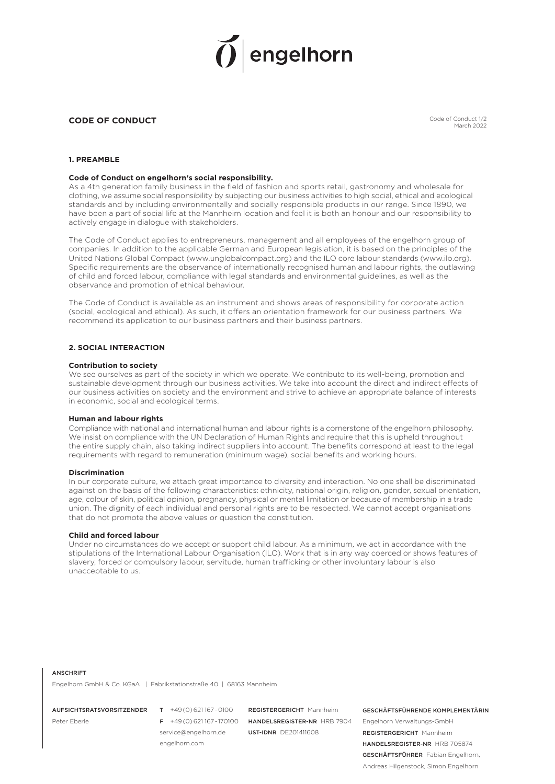# engelhorn

# **CODE OF CONDUCT**

Code of Conduct 1/2 March 2022

# **1. PREAMBLE**

# **Code of Conduct on engelhorn's social responsibility.**

As a 4th generation family business in the field of fashion and sports retail, gastronomy and wholesale for clothing, we assume social responsibility by subjecting our business activities to high social, ethical and ecological standards and by including environmentally and socially responsible products in our range. Since 1890, we have been a part of social life at the Mannheim location and feel it is both an honour and our responsibility to actively engage in dialogue with stakeholders.

The Code of Conduct applies to entrepreneurs, management and all employees of the engelhorn group of companies. In addition to the applicable German and European legislation, it is based on the principles of the United Nations Global Compact (www.unglobalcompact.org) and the ILO core labour standards (www.ilo.org). Specific requirements are the observance of internationally recognised human and labour rights, the outlawing of child and forced labour, compliance with legal standards and environmental guidelines, as well as the observance and promotion of ethical behaviour.

The Code of Conduct is available as an instrument and shows areas of responsibility for corporate action (social, ecological and ethical). As such, it offers an orientation framework for our business partners. We recommend its application to our business partners and their business partners.

# **2. SOCIAL INTERACTION**

#### **Contribution to society**

We see ourselves as part of the society in which we operate. We contribute to its well-being, promotion and sustainable development through our business activities. We take into account the direct and indirect effects of our business activities on society and the environment and strive to achieve an appropriate balance of interests in economic, social and ecological terms.

#### **Human and labour rights**

Compliance with national and international human and labour rights is a cornerstone of the engelhorn philosophy. We insist on compliance with the UN Declaration of Human Rights and require that this is upheld throughout the entire supply chain, also taking indirect suppliers into account. The benefits correspond at least to the legal requirements with regard to remuneration (minimum wage), social benefits and working hours.

# **Discrimination**

In our corporate culture, we attach great importance to diversity and interaction. No one shall be discriminated against on the basis of the following characteristics: ethnicity, national origin, religion, gender, sexual orientation, age, colour of skin, political opinion, pregnancy, physical or mental limitation or because of membership in a trade union. The dignity of each individual and personal rights are to be respected. We cannot accept organisations that do not promote the above values or question the constitution.

#### **Child and forced labour**

Under no circumstances do we accept or support child labour. As a minimum, we act in accordance with the stipulations of the International Labour Organisation (ILO). Work that is in any way coerced or shows features of slavery, forced or compulsory labour, servitude, human trafficking or other involuntary labour is also unacceptable to us.

#### **ANSCHDIET**

Engelhorn GmbH & Co. KGaA | Fabrikstationstraße 40 | 68163 Mannheim

AUFSICHTSRATSVORSITZENDER T +49(0)621167-0100

Peter Eberle

service@engelhorn.de engelhorn.com

F +49(0)621167-170100 HANDELSREGISTER-NR HRB 7904 **DEGISTEDGEDICHT** Mannheim UST-IDNR DE201411608

GESCHÄFTSFÜHRENDE KOMPLEMENTÄRIN Engelhorn Verwaltungs-GmbH REGISTERGERICHT Mannheim HANDELSREGISTER-NR HRB 705874 GESCHÄFTSFÜHRER Fabian Engelhorn, Andreas Hilgenstock, Simon Engelhorn